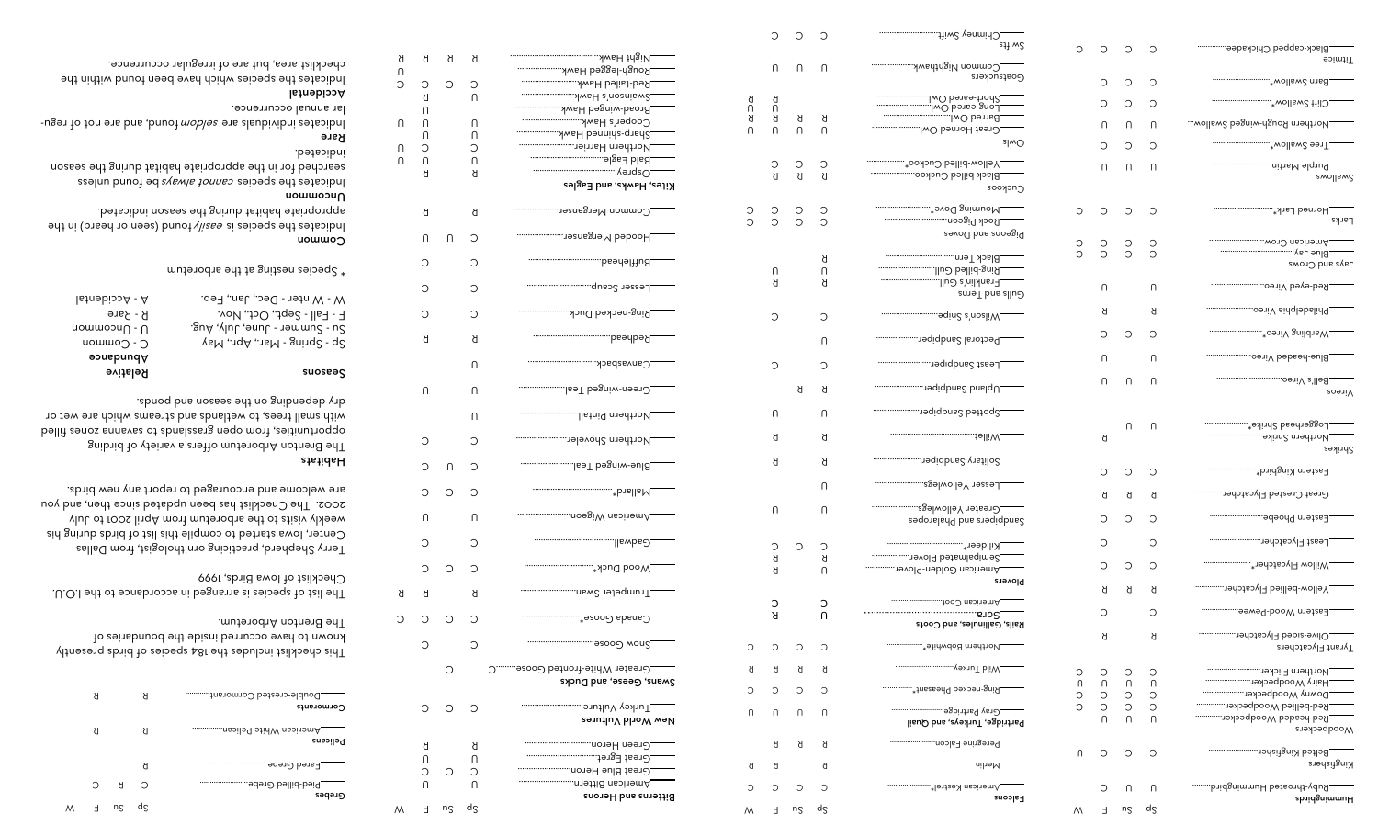|        | С      | C                                               | С      | stiiw2                                         |        |                               |                     |              |                                            |
|--------|--------|-------------------------------------------------|--------|------------------------------------------------|--------|-------------------------------|---------------------|--------------|--------------------------------------------|
|        | $\cap$ | $\cap$                                          | U      | Common Nighthawk                               | С      | С                             | С                   | С            | Black-capped Chickadee<br>Titmice          |
|        |        |                                                 |        | Goatsuckers                                    |        | С                             | С                   | С            | wollsw2 mail www.                          |
| Я<br>Π | Я<br>U |                                                 |        |                                                |        | С                             | С                   | С            |                                            |
| Я<br>Λ | Я<br>U | Я<br>$\cap$                                     | Я<br>U | Great Horned Owl                               |        | U                             | U                   | U            | wollsw2 begniw-dguoЯ n1edt1oИ              |
|        |        |                                                 |        | slwO                                           |        | С                             | C                   | С            |                                            |
|        | С<br>ਖ | С<br>Я                                          | С<br>ď | _Black-billed Cuckoo<br>Cuckoos                |        | U                             | U                   | U            | swollsw2                                   |
|        | С<br>C | С<br>C                                          | С<br>С | Pigeons and Doves                              | С      | С                             | С                   | С            | Larks                                      |
|        | U      |                                                 | Я<br>Π |                                                | Э<br>C | C<br>C                        | C<br>C              | С<br>$\circ$ | wo٦つ пвэітэтА<br>eys and Crows             |
|        | Я      |                                                 | ď      | .Franklin's Gull<br>Gulls and Terns            |        | U                             |                     | U            |                                            |
|        | С      |                                                 | С      |                                                |        | ଧ                             |                     | Я            |                                            |
|        |        |                                                 | U      | _Pectoral Sandpiper                            |        | С                             | С                   | С            |                                            |
|        | C      |                                                 | C      |                                                |        | U                             |                     | U            |                                            |
|        |        | Я                                               | Я      |                                                |        | U                             | U                   | U            | <b>zoeniV</b>                              |
|        | $\cap$ |                                                 | U      | -"""""""""""""" adiqbuec pettoq?"              |        |                               |                     |              |                                            |
|        | Я      |                                                 | Я      |                                                |        | ď                             | U                   | U            | _Loggerhead Shrike*<br>Shrikes             |
|        | Я      |                                                 | Я      |                                                |        | С                             | С                   | С            | Eastern Kingbird*                          |
|        |        |                                                 | U      | _Lesser Yellowlegs                             |        | Я                             | ଧ                   | Я            | Great Crested Flycatcher                   |
|        | U      |                                                 | Λ      | saqonalarlq bns angiqbnac                      |        | С                             | С                   | С            |                                            |
|        | С      | C                                               | С      |                                                |        | С                             |                     | С            |                                            |
|        | Я<br>Я |                                                 | ď<br>U | Semipalmated Plover<br>_American Golden-Plover |        | С                             | $\circlearrowright$ | С            | Willow Flycatcher*                         |
|        |        |                                                 |        | Plovers                                        |        | ଧ                             | Я                   | ď            | Yellow-bellied Flycatcher                  |
|        | С<br>Я |                                                 | С<br>U |                                                |        | $\circlearrowright$           |                     | С            | Eastern Wood-Pewee                         |
|        |        |                                                 |        | Rails, Gallinules, and Coots                   |        | ď                             |                     | ď            | Olive-sided Flycatcher                     |
| С      | C      | C                                               | C      | Northern Bobwhite*                             |        |                               |                     |              | Tyrant Flycatchers                         |
| ଧ<br>С | Я<br>С | Я                                               | ď<br>C | Ring-necked Pheasant*                          | С<br>η | $\circlearrowright$<br>$\cap$ | С<br>$\cap$         | С<br>U       | Hairy Woodpecker                           |
| U      | U      | $\cap$                                          | U      | _Gray Partridge                                | С<br>C | $\circ$<br>$\circ$            | $\circ$<br>$\circ$  | С<br>$\circ$ | Downy Woodpecker<br>Red-bellied Woodpecker |
|        |        |                                                 |        | Partridge, Turkeys, and Quail                  |        | Λ                             | U                   | $\cap$       | Red-headed Woodpecker<br>Woodpeckers       |
|        | Я      | Я                                               | ଧ      | Peregrine Falcon                               | U      | C                             | $\circlearrowright$ | C            | .Belted Kingfisher                         |
| ଧ      | Я      |                                                 | ď      |                                                |        |                               |                     |              | Kingfishers                                |
| С      | С      | $\hbox{\large\ensuremath{\mathop{\mathbb{C}}}}$ | C      | American Kestrel*<br><b>Falcons</b>            |        | С                             | U                   | $\cap$       | Ruby-throated Hummingbird<br>Hummingbirds  |
| N      | E      | nς                                              | dς     |                                                | Μ      | E                             | nς                  | dς           |                                            |

|                                                                                                                                                                                       | ክ | ክ  | ď                        |                                                        |
|---------------------------------------------------------------------------------------------------------------------------------------------------------------------------------------|---|----|--------------------------|--------------------------------------------------------|
|                                                                                                                                                                                       |   |    |                          | Rough-legged Hawk                                      |
|                                                                                                                                                                                       |   |    | С<br>Π                   | Red-tailed Hawk<br>Swainson's Hawk                     |
|                                                                                                                                                                                       |   |    |                          | Broad-winged Hawk                                      |
|                                                                                                                                                                                       |   |    | Π                        | Cooper's Hawk                                          |
|                                                                                                                                                                                       | Λ |    | Λ                        | Sharp-shinned Hawk                                     |
|                                                                                                                                                                                       | С |    | С                        |                                                        |
|                                                                                                                                                                                       | Π |    | Π                        |                                                        |
|                                                                                                                                                                                       | ଧ |    | ଧ                        |                                                        |
| Я<br>Π<br>⊃<br>С<br>С<br>Я<br>Π<br>Π<br>Π<br>∩<br>Π<br>ክ<br>Π<br>С<br>С<br>С<br>ክ<br>Π<br>С<br>С<br>Π<br>С<br>С<br>Π<br>С<br>С<br>Я<br>ଧ<br>⊃<br>С<br>С<br>С<br>ଧ<br>Λ<br>С<br>С<br>Λ |   |    | Kites, Hawks, and Eagles |                                                        |
|                                                                                                                                                                                       |   |    | ଧ                        |                                                        |
|                                                                                                                                                                                       |   | Π  | С                        | _Hooded Merganser                                      |
|                                                                                                                                                                                       |   |    | С                        |                                                        |
|                                                                                                                                                                                       |   |    | С                        |                                                        |
|                                                                                                                                                                                       |   |    | С                        | .Ring-necked Duck                                      |
|                                                                                                                                                                                       |   |    | ଧ                        |                                                        |
|                                                                                                                                                                                       |   |    | U                        |                                                        |
|                                                                                                                                                                                       |   |    | Π                        | lsəT bəgniw-nəə1Ə_                                     |
|                                                                                                                                                                                       |   |    | U                        |                                                        |
|                                                                                                                                                                                       |   |    | С<br>С                   | lsəT bəgniw-əuld                                       |
|                                                                                                                                                                                       |   |    | С                        |                                                        |
|                                                                                                                                                                                       |   |    | Π                        | noə§iW nsɔiኀəmA                                        |
|                                                                                                                                                                                       |   |    | С                        |                                                        |
|                                                                                                                                                                                       |   | С  | С                        |                                                        |
|                                                                                                                                                                                       |   |    | ଧ                        |                                                        |
|                                                                                                                                                                                       |   | С  | С                        | ------------------------ <sub>*</sub> asooD sbans2_    |
|                                                                                                                                                                                       |   |    | С                        |                                                        |
|                                                                                                                                                                                       |   | С  |                          | Greater White-fronted Goose<br>Swans, Geese, and Ducks |
|                                                                                                                                                                                       |   |    | С                        | _Turkey Vulture<br>New World Vultures                  |
|                                                                                                                                                                                       |   |    |                          |                                                        |
|                                                                                                                                                                                       |   |    | ଧ<br>Λ                   |                                                        |
|                                                                                                                                                                                       |   |    | С                        | Great Blue Heron                                       |
|                                                                                                                                                                                       |   |    | Λ                        | _American Bittern                                      |
|                                                                                                                                                                                       |   |    |                          | Bitterns and Herons                                    |
|                                                                                                                                                                                       | E | nς | $d_{\mathsf{S}}$         |                                                        |

W

 $\bigcap$  $\circ$ 

 $\circ$  $C$ 

 $\circ$  $\circ$  $\circ$ 

| Double-crested Cormorant<br>Cormorants    | K  |    | K |   |
|-------------------------------------------|----|----|---|---|
| American White Pelican<br><b>Pelicans</b> | K  |    | K |   |
| Eared Grebe                               | Я  |    |   |   |
| <br>Pied-billed Grebe.                    | Э  | Я  | O |   |
| Grebes                                    | dς | nς |   | M |

This checklist includes the 184 species of birds presently known to have occurred inside the boundaries of The Brenton Arboretum.

The list of species is arranged in accordance to the I.O.U. Checklist of Iowa Birds, 1999

Terry Shepherd, practicing ornithologist, from Dallas Center, Iowa started to compile this list of birds during his weekly visits to the arboretum from April 2001 to July 2002. The Checklist has been updated since then, and you are welcome and encouraged to report any new birds.

### Habitats

W

 $\cap$  $\cap$ 

 $\cap$  $\circ$ 

 $\cap$  $\bigcap$ 

 $\circ$ 

R

R  $\mathsf{R}$ 

The Brenton Arboretum offers a variety of birding opportunities, from open grasslands to savanna zones filled with small trees, to wetlands and streams which are wet or dry depending on the season and ponds.

| uowwo∩                                                                                           |                                                                                   |
|--------------------------------------------------------------------------------------------------|-----------------------------------------------------------------------------------|
| * Species nesting at the arboretum                                                               |                                                                                   |
| W - Winter - Dec., Jan., Feb.<br>F - Fall - Sept., Oct., Nov.<br>Sur - Summer - June, July, Aug. | $Is$ Inəbi $\circ$ ə $\mathsf{A}$ - $\mathsf{A}$<br>B - Rare<br>$\cup$ - Uncommon |
| YeM 1qA 1sM - gni1q2 - q2                                                                        | $C -$ Common                                                                      |
|                                                                                                  | Abundance                                                                         |
| suoseag                                                                                          | <b>Relative</b>                                                                   |

hous the species is easily fonned (seen or heard) in the appropriate habitat during the season indicated.

Uncommon be found unlessed cannot always of punch a setting the setting in the setting  $\mu$ searched for in the appropriate habitat during the season

### indicated. Rare

founding are puring are seldon in and the regar individuals and regular annual occurrence.

## Accidental

Indicates the species which have been found within the checklist area, but are of irregular occurrence.